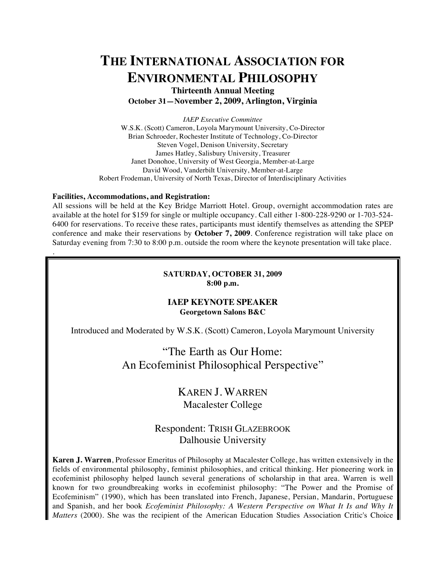# **THE INTERNATIONAL ASSOCIATION FOR ENVIRONMENTAL PHILOSOPHY**

**Thirteenth Annual Meeting October 31—November 2, 2009, Arlington, Virginia**

*IAEP Executive Committee* W.S.K. (Scott) Cameron, Loyola Marymount University, Co-Director Brian Schroeder, Rochester Institute of Technology, Co-Director Steven Vogel, Denison University, Secretary James Hatley, Salisbury University, Treasurer Janet Donohoe, University of West Georgia, Member-at-Large David Wood, Vanderbilt University, Member-at-Large Robert Frodeman, University of North Texas, Director of Interdisciplinary Activities

#### **Facilities, Accommodations, and Registration:**

.

All sessions will be held at the Key Bridge Marriott Hotel. Group, overnight accommodation rates are available at the hotel for \$159 for single or multiple occupancy. Call either 1-800-228-9290 or 1-703-524- 6400 for reservations. To receive these rates, participants must identify themselves as attending the SPEP conference and make their reservations by **October 7, 2009**. Conference registration will take place on Saturday evening from 7:30 to 8:00 p.m. outside the room where the keynote presentation will take place.

#### **SATURDAY, OCTOBER 31, 2009 8:00 p.m.**

## **IAEP KEYNOTE SPEAKER Georgetown Salons B&C**

Introduced and Moderated by W.S.K. (Scott) Cameron, Loyola Marymount University

## "The Earth as Our Home: An Ecofeminist Philosophical Perspective"

## KAREN J. WARREN Macalester College

## Respondent: TRISH GLAZEBROOK Dalhousie University

**Karen J. Warren**, Professor Emeritus of Philosophy at Macalester College, has written extensively in the fields of environmental philosophy, feminist philosophies, and critical thinking. Her pioneering work in ecofeminist philosophy helped launch several generations of scholarship in that area. Warren is well known for two groundbreaking works in ecofeminist philosophy: "The Power and the Promise of Ecofeminism" (1990), which has been translated into French, Japanese, Persian, Mandarin, Portuguese and Spanish, and her book *Ecofeminist Philosophy: A Western Perspective on What It Is and Why It Matters* (2000). She was the recipient of the American Education Studies Association Critic's Choice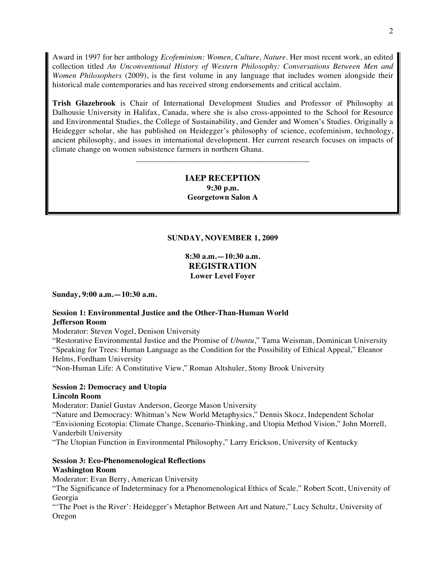Award in 1997 for her anthology *Ecofeminism: Women, Culture, Nature*. Her most recent work, an edited collection titled *An Unconventional History of Western Philosophy: Conversations Between Men and Women Philosophers* (2009), is the first volume in any language that includes women alongside their historical male contemporaries and has received strong endorsements and critical acclaim.

**Trish Glazebrook** is Chair of International Development Studies and Professor of Philosophy at Dalhousie University in Halifax, Canada, where she is also cross-appointed to the School for Resource and Environmental Studies, the College of Sustainability, and Gender and Women's Studies. Originally a Heidegger scholar, she has published on Heidegger's philosophy of science, ecofeminism, technology, ancient philosophy, and issues in international development. Her current research focuses on impacts of climate change on women subsistence farmers in northern Ghana.

## **IAEP RECEPTION 9:30 p.m. Georgetown Salon A**

\_\_\_\_\_\_\_\_\_\_\_\_\_\_\_\_\_\_\_\_\_\_\_\_\_\_\_\_\_\_\_\_\_\_\_\_\_\_\_\_\_\_\_

## **SUNDAY, NOVEMBER 1, 2009**

**8:30 a.m.—10:30 a.m. REGISTRATION Lower Level Foyer**

**Sunday, 9:00 a.m.—10:30 a.m.** 

## **Session 1: Environmental Justice and the Other-Than-Human World Jefferson Room**

Moderator: Steven Vogel, Denison University

"Restorative Environmental Justice and the Promise of *Ubuntu*," Tama Weisman, Dominican University "Speaking for Trees: Human Language as the Condition for the Possibility of Ethical Appeal," Eleanor Helms, Fordham University

"Non-Human Life: A Constitutive View," Roman Altshuler, Stony Brook University

## **Session 2: Democracy and Utopia**

#### **Lincoln Room**

Moderator: Daniel Gustav Anderson, George Mason University

"Nature and Democracy: Whitman's New World Metaphysics," Dennis Skocz, Independent Scholar "Envisioning Ecotopia: Climate Change, Scenario-Thinking, and Utopia Method Vision," John Morrell, Vanderbilt University

"The Utopian Function in Environmental Philosophy," Larry Erickson, University of Kentucky

## **Session 3: Eco-Phenomenological Reflections Washington Room**

Moderator: Evan Berry, American University

"The Significance of Indeterminacy for a Phenomenological Ethics of Scale," Robert Scott, University of Georgia

"The Poet is the River': Heidegger's Metaphor Between Art and Nature," Lucy Schultz, University of Oregon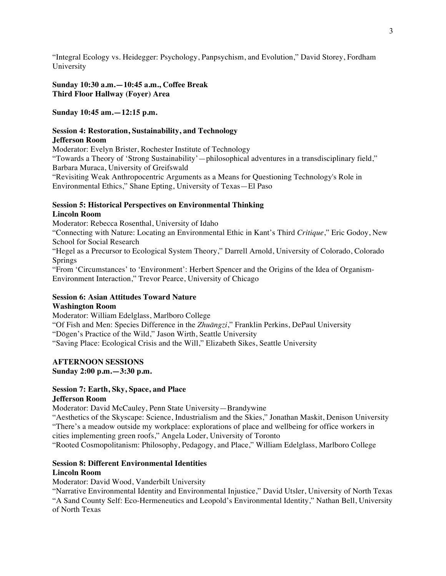"Integral Ecology vs. Heidegger: Psychology, Panpsychism, and Evolution," David Storey, Fordham University

**Sunday 10:30 a.m.—10:45 a.m., Coffee Break Third Floor Hallway (Foyer) Area**

#### **Sunday 10:45 am.—12:15 p.m.**

## **Session 4: Restoration, Sustainability, and Technology**

## **Jefferson Room**

Moderator: Evelyn Brister, Rochester Institute of Technology "Towards a Theory of 'Strong Sustainability'—philosophical adventures in a transdisciplinary field," Barbara Muraca, University of Greifswald "Revisiting Weak Anthropocentric Arguments as a Means for Questioning Technology's Role in Environmental Ethics," Shane Epting, University of Texas—El Paso

#### **Session 5: Historical Perspectives on Environmental Thinking Lincoln Room**

Moderator: Rebecca Rosenthal, University of Idaho

"Connecting with Nature: Locating an Environmental Ethic in Kant's Third *Critique*," Eric Godoy, New School for Social Research

"Hegel as a Precursor to Ecological System Theory," Darrell Arnold, University of Colorado, Colorado Springs

"From 'Circumstances' to 'Environment': Herbert Spencer and the Origins of the Idea of Organism-Environment Interaction," Trevor Pearce, University of Chicago

# **Session 6: Asian Attitudes Toward Nature**

#### **Washington Room**

Moderator: William Edelglass, Marlboro College "Of Fish and Men: Species Difference in the *Zhuāngzi*," Franklin Perkins, DePaul University "Dōgen's Practice of the Wild," Jason Wirth, Seattle University "Saving Place: Ecological Crisis and the Will," Elizabeth Sikes, Seattle University

## **AFTERNOON SESSIONS**

#### **Sunday 2:00 p.m.—3:30 p.m.**

#### **Session 7: Earth, Sky, Space, and Place Jefferson Room**

Moderator: David McCauley, Penn State University—Brandywine

"Aesthetics of the Skyscape: Science, Industrialism and the Skies," Jonathan Maskit, Denison University "There's a meadow outside my workplace: explorations of place and wellbeing for office workers in cities implementing green roofs," Angela Loder, University of Toronto

"Rooted Cosmopolitanism: Philosophy, Pedagogy, and Place," William Edelglass, Marlboro College

## **Session 8: Different Environmental Identities**

#### **Lincoln Room**

Moderator: David Wood, Vanderbilt University

"Narrative Environmental Identity and Environmental Injustice," David Utsler, University of North Texas "A Sand County Self: Eco-Hermeneutics and Leopold's Environmental Identity," Nathan Bell, University of North Texas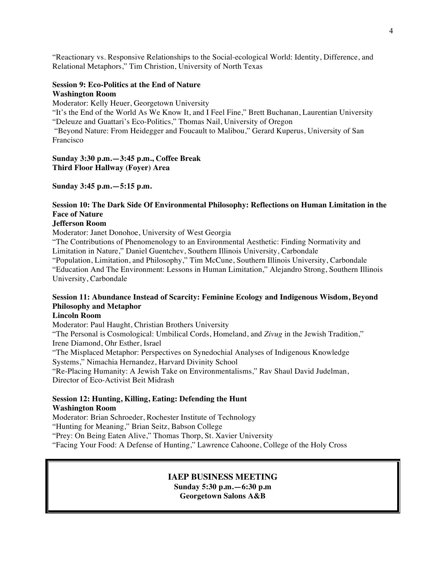"Reactionary vs. Responsive Relationships to the Social-ecological World: Identity, Difference, and Relational Metaphors," Tim Christion, University of North Texas

#### **Session 9: Eco-Politics at the End of Nature Washington Room**

Moderator: Kelly Heuer, Georgetown University

"It's the End of the World As We Know It, and I Feel Fine," Brett Buchanan, Laurentian University "Deleuze and Guattari's Eco-Politics," Thomas Nail, University of Oregon

"Beyond Nature: From Heidegger and Foucault to Malibou," Gerard Kuperus, University of San Francisco

**Sunday 3:30 p.m.—3:45 p.m., Coffee Break Third Floor Hallway (Foyer) Area**

**Sunday 3:45 p.m.—5:15 p.m.**

## **Session 10: The Dark Side Of Environmental Philosophy: Reflections on Human Limitation in the Face of Nature**

#### **Jefferson Room**

Moderator: Janet Donohoe, University of West Georgia

"The Contributions of Phenomenology to an Environmental Aesthetic: Finding Normativity and Limitation in Nature," Daniel Guentchev, Southern Illinois University, Carbondale "Population, Limitation, and Philosophy," Tim McCune, Southern Illinois University, Carbondale

"Education And The Environment: Lessons in Human Limitation," Alejandro Strong, Southern Illinois University, Carbondale

## **Session 11: Abundance Instead of Scarcity: Feminine Ecology and Indigenous Wisdom, Beyond Philosophy and Metaphor**

#### **Lincoln Room**

Moderator: Paul Haught, Christian Brothers University "The Personal is Cosmological: Umbilical Cords, Homeland, and *Zivug* in the Jewish Tradition," Irene Diamond, Ohr Esther, Israel "The Misplaced Metaphor: Perspectives on Synedochial Analyses of Indigenous Knowledge Systems," Nimachia Hernandez, Harvard Divinity School "Re-Placing Humanity: A Jewish Take on Environmentalisms," Rav Shaul David Judelman, Director of Eco-Activist Beit Midrash

#### **Session 12: Hunting, Killing, Eating: Defending the Hunt Washington Room**

Moderator: Brian Schroeder, Rochester Institute of Technology "Hunting for Meaning," Brian Seitz, Babson College

"Prey: On Being Eaten Alive," Thomas Thorp, St. Xavier University

"Facing Your Food: A Defense of Hunting," Lawrence Cahoone, College of the Holy Cross

## **IAEP BUSINESS MEETING**

**Sunday 5:30 p.m.—6:30 p.m Georgetown Salons A&B**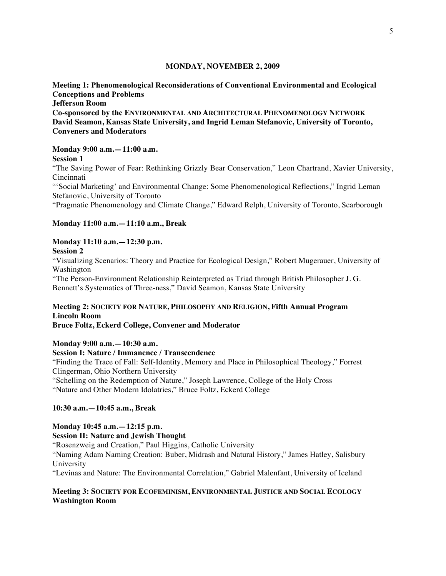#### **MONDAY, NOVEMBER 2, 2009**

## **Meeting 1: Phenomenological Reconsiderations of Conventional Environmental and Ecological Conceptions and Problems**

**Jefferson Room**

**Co-sponsored by the ENVIRONMENTAL AND ARCHITECTURAL PHENOMENOLOGY NETWORK David Seamon, Kansas State University, and Ingrid Leman Stefanovic, University of Toronto, Conveners and Moderators**

#### **Monday 9:00 a.m.—11:00 a.m.**

**Session 1** 

"The Saving Power of Fear: Rethinking Grizzly Bear Conservation," Leon Chartrand, Xavier University, Cincinnati

"'Social Marketing' and Environmental Change: Some Phenomenological Reflections," Ingrid Leman Stefanovic, University of Toronto

"Pragmatic Phenomenology and Climate Change," Edward Relph, University of Toronto, Scarborough

#### **Monday 11:00 a.m.—11:10 a.m., Break**

## **Monday 11:10 a.m.—12:30 p.m.**

#### **Session 2**

"Visualizing Scenarios: Theory and Practice for Ecological Design," Robert Mugerauer, University of Washington

"The Person-Environment Relationship Reinterpreted as Triad through British Philosopher J. G. Bennett's Systematics of Three-ness," David Seamon, Kansas State University

## **Meeting 2: SOCIETY FOR NATURE, PHILOSOPHY AND RELIGION, Fifth Annual Program Lincoln Room**

**Bruce Foltz, Eckerd College, Convener and Moderator**

**Monday 9:00 a.m.—10:30 a.m.**

#### **Session I: Nature / Immanence / Transcendence**

"Finding the Trace of Fall: Self-Identity, Memory and Place in Philosophical Theology," Forrest Clingerman, Ohio Northern University

"Schelling on the Redemption of Nature," Joseph Lawrence, College of the Holy Cross "Nature and Other Modern Idolatries," Bruce Foltz, Eckerd College

## **10:30 a.m.—10:45 a.m., Break**

## **Monday 10:45 a.m.—12:15 p.m.**

**Session II: Nature and Jewish Thought**

"Rosenzweig and Creation," Paul Higgins, Catholic University

"Naming Adam Naming Creation: Buber, Midrash and Natural History," James Hatley, Salisbury University

"Levinas and Nature: The Environmental Correlation," Gabriel Malenfant, University of Iceland

## **Meeting 3: SOCIETY FOR ECOFEMINISM, ENVIRONMENTAL JUSTICE AND SOCIAL ECOLOGY Washington Room**